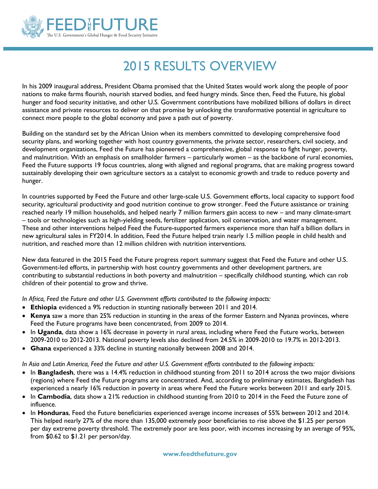

## 2015 RESULTS OVERVIEW

In his 2009 inaugural address, President Obama promised that the United States would work along the people of poor nations to make farms flourish, nourish starved bodies, and feed hungry minds. Since then, Feed the Future, his global hunger and food security initiative, and other U.S. Government contributions have mobilized billions of dollars in direct assistance and private resources to deliver on that promise by unlocking the transformative potential in agriculture to connect more people to the global economy and pave a path out of poverty.

Building on the standard set by the African Union when its members committed to developing comprehensive food security plans, and working together with host country governments, the private sector, researchers, civil society, and development organizations, Feed the Future has pioneered a comprehensive, global response to fight hunger, poverty, and malnutrition. With an emphasis on smallholder farmers – particularly women – as the backbone of rural economies, Feed the Future supports 19 focus countries, along with aligned and regional programs, that are making progress toward sustainably developing their own agriculture sectors as a catalyst to economic growth and trade to reduce poverty and hunger.

In countries supported by Feed the Future and other large-scale U.S. Government efforts, local capacity to support food security, agricultural productivity and good nutrition continue to grow stronger. Feed the Future assistance or training reached nearly 19 million households, and helped nearly 7 million farmers gain access to new – and many climate-smart – tools or technologies such as high-yielding seeds, fertilizer application, soil conservation, and water management. These and other interventions helped Feed the Future-supported farmers experience more than half a billion dollars in new agricultural sales in FY2014. In addition, Feed the Future helped train nearly 1.5 million people in child health and nutrition, and reached more than 12 million children with nutrition interventions.

New data featured in the 2015 Feed the Future progress report summary suggest that Feed the Future and other U.S. Government-led efforts, in partnership with host country governments and other development partners, are contributing to substantial reductions in both poverty and malnutrition – specifically childhood stunting, which can rob children of their potential to grow and thrive.

*In Africa, Feed the Future and other U.S. Government efforts contributed to the following impacts:*

- **Ethiopia** evidenced a 9% reduction in stunting nationally between 2011 and 2014.
- **Kenya** saw a more than 25% reduction in stunting in the areas of the former Eastern and Nyanza provinces, where Feed the Future programs have been concentrated, from 2009 to 2014.
- In Uganda, data show a 16% decrease in poverty in rural areas, including where Feed the Future works, between 2009-2010 to 2012-2013. National poverty levels also declined from 24.5% in 2009-2010 to 19.7% in 2012-2013.
- **Ghana** experienced a 33% decline in stunting nationally between 2008 and 2014.

*In Asia and Latin America, Feed the Future and other U.S. Government efforts contributed to the following impacts:*

- In **Bangladesh**, there was a 14.4% reduction in childhood stunting from 2011 to 2014 across the two major divisions (regions) where Feed the Future programs are concentrated. And, according to preliminary estimates, Bangladesh has experienced a nearly 16% reduction in poverty in areas where Feed the Future works between 2011 and early 2015.
- In **Cambodia**, data show a 21% reduction in childhood stunting from 2010 to 2014 in the Feed the Future zone of influence.
- In **Honduras**, Feed the Future beneficiaries experienced average income increases of 55% between 2012 and 2014. This helped nearly 27% of the more than 135,000 extremely poor beneficiaries to rise above the \$1.25 per person per day extreme poverty threshold. The extremely poor are less poor, with incomes increasing by an average of 95%, from \$0.62 to \$1.21 per person/day.